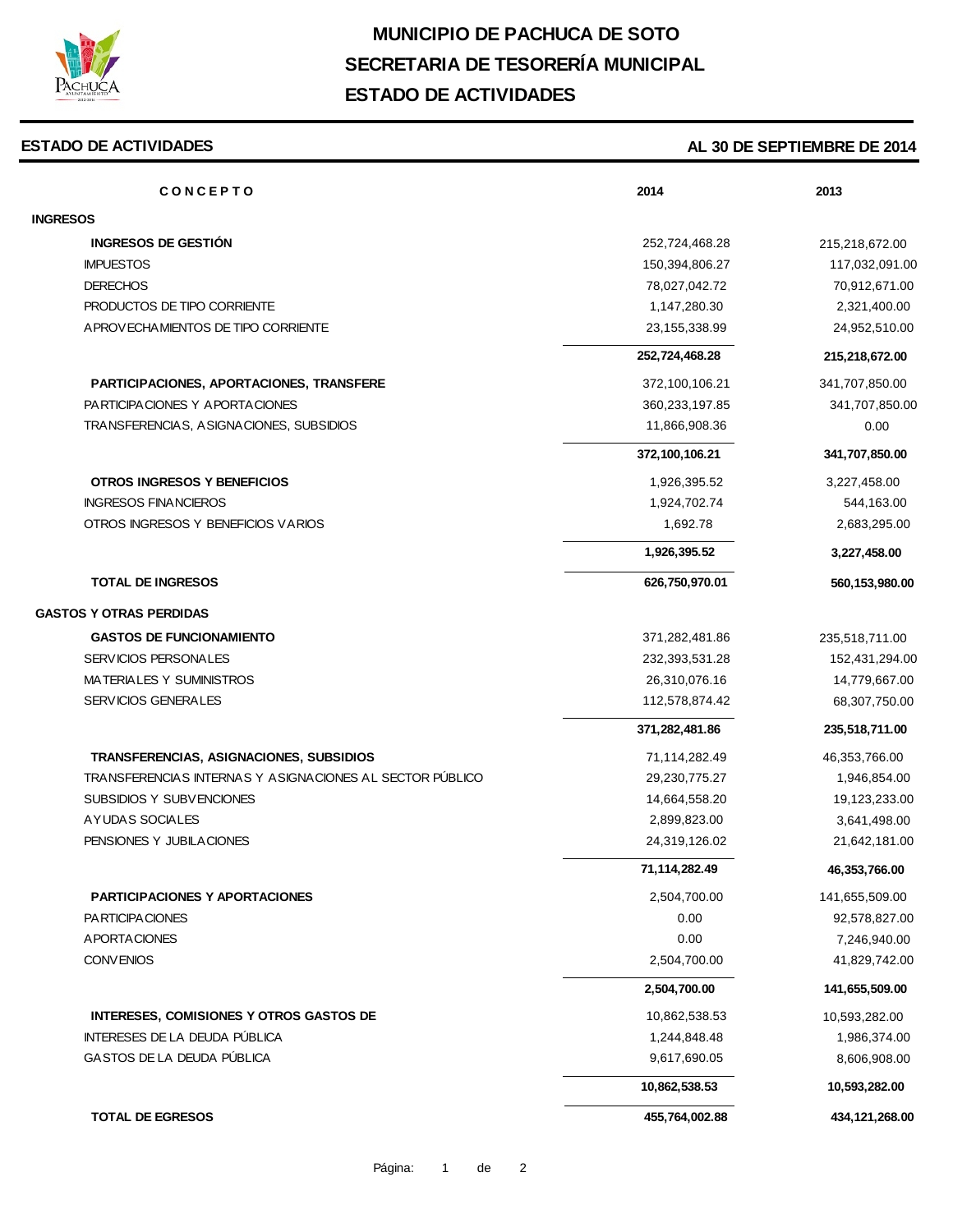

# **MUNICIPIO DE PACHUCA DE SOTO SECRETARIA DE TESORERÍA MUNICIPAL ESTADO DE ACTIVIDADES**

#### **ESTADO DE ACTIVIDADES**

### **AL 30 DE SEPTIEMBRE DE 2014**

| <b>CONCEPTO</b>                                          | 2014             | 2013             |
|----------------------------------------------------------|------------------|------------------|
| <b>INGRESOS</b>                                          |                  |                  |
| <b>INGRESOS DE GESTIÓN</b>                               | 252,724,468.28   | 215,218,672.00   |
| <b>IMPUESTOS</b>                                         | 150,394,806.27   | 117,032,091.00   |
| <b>DERECHOS</b>                                          | 78,027,042.72    | 70,912,671.00    |
| PRODUCTOS DE TIPO CORRIENTE                              | 1,147,280.30     | 2,321,400.00     |
| A PROVECHA MIENTOS DE TIPO CORRIENTE                     | 23, 155, 338. 99 | 24,952,510.00    |
|                                                          | 252,724,468.28   | 215,218,672.00   |
| PARTICIPACIONES, APORTACIONES, TRANSFERE                 | 372,100,106.21   | 341,707,850.00   |
| PARTICIPACIONES Y APORTACIONES                           | 360,233,197.85   | 341,707,850.00   |
| TRANSFERENCIAS, ASIGNACIONES, SUBSIDIOS                  | 11,866,908.36    | 0.00             |
|                                                          | 372,100,106.21   | 341,707,850.00   |
| OTROS INGRESOS Y BENEFICIOS                              | 1,926,395.52     | 3,227,458.00     |
| <b>INGRESOS FINANCIEROS</b>                              | 1,924,702.74     | 544,163.00       |
| OTROS INGRESOS Y BENEFICIOS VARIOS                       | 1,692.78         | 2,683,295.00     |
|                                                          | 1,926,395.52     | 3,227,458.00     |
| <b>TOTAL DE INGRESOS</b>                                 | 626,750,970.01   | 560,153,980.00   |
| <b>GASTOS Y OTRAS PERDIDAS</b>                           |                  |                  |
| <b>GASTOS DE FUNCIONAMIENTO</b>                          | 371,282,481.86   | 235,518,711.00   |
| SERVICIOS PERSONALES                                     | 232,393,531.28   | 152,431,294.00   |
| MATERIALES Y SUMINISTROS                                 | 26,310,076.16    | 14,779,667.00    |
| SERVICIOS GENERALES                                      | 112,578,874.42   | 68,307,750.00    |
|                                                          |                  |                  |
|                                                          | 371,282,481.86   | 235,518,711.00   |
| TRANSFERENCIAS, ASIGNACIONES, SUBSIDIOS                  | 71,114,282.49    | 46,353,766.00    |
| TRANSFERENCIAS INTERNAS Y ASIGNACIONES AL SECTOR PÚBLICO | 29,230,775.27    | 1,946,854.00     |
| SUBSIDIOS Y SUBVENCIONES                                 | 14,664,558.20    | 19,123,233.00    |
| AYUDAS SOCIALES                                          | 2,899,823.00     | 3,641,498.00     |
| PENSIONES Y JUBILACIONES                                 | 24,319,126.02    | 21,642,181.00    |
|                                                          | 71,114,282.49    | 46, 353, 766.00  |
| <b>PARTICIPACIONES Y APORTACIONES</b>                    | 2,504,700.00     | 141,655,509.00   |
| PA RTICIPA CIONES                                        | 0.00             | 92,578,827.00    |
| A PORTA CIONES                                           | 0.00             | 7,246,940.00     |
| CONVENIOS                                                | 2,504,700.00     | 41,829,742.00    |
|                                                          | 2,504,700.00     | 141,655,509.00   |
| <b>INTERESES, COMISIONES Y OTROS GASTOS DE</b>           | 10,862,538.53    | 10,593,282.00    |
| INTERESES DE LA DEUDA PÚBLICA                            | 1,244,848.48     | 1,986,374.00     |
| GASTOS DE LA DEUDA PÚBLICA                               | 9,617,690.05     | 8,606,908.00     |
|                                                          | 10,862,538.53    | 10,593,282.00    |
| <b>TOTAL DE EGRESOS</b>                                  | 455,764,002.88   | 434, 121, 268.00 |